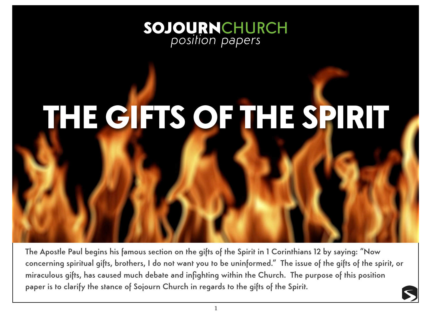

# THE GIFTS OF THE SPIRIT

The Apostle Paul begins his famous section on the gifts of the Spirit in 1 Corinthians 12 by saying: "Now concerning spiritual gifts, brothers, I do not want you to be uninformed." The issue of the gifts of the spirit, or miraculous gifts, has caused much debate and infighting within the Church. The purpose of this position paper is to clarify the stance of Sojourn Church in regards to the gifts of the Spirit.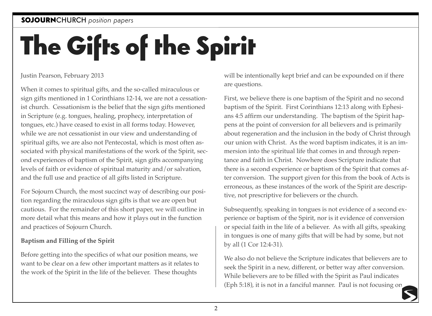## SOJOURNCHURCH *position papers*

# The Gifts of the Spirit

Justin Pearson, February 2013

When it comes to spiritual gifts, and the so-called miraculous or sign gifts mentioned in 1 Corinthians 12-14, we are not a cessationist church. Cessationism is the belief that the sign gifts mentioned in Scripture (e.g. tongues, healing, prophecy, interpretation of tongues, etc.) have ceased to exist in all forms today. However, while we are not cessationist in our view and understanding of spiritual gifts, we are also not Pentecostal, which is most often associated with physical manifestations of the work of the Spirit, second experiences of baptism of the Spirit, sign gifts accompanying levels of faith or evidence of spiritual maturity and/or salvation, and the full use and practice of all gifts listed in Scripture.

For Sojourn Church, the most succinct way of describing our position regarding the miraculous sign gifts is that we are open but cautious. For the remainder of this short paper, we will outline in more detail what this means and how it plays out in the function and practices of Sojourn Church.

### **Baptism and Filling of the Spirit**

Before getting into the specifics of what our position means, we want to be clear on a few other important matters as it relates to the work of the Spirit in the life of the believer. These thoughts

will be intentionally kept brief and can be expounded on if there are questions.

First, we believe there is one baptism of the Spirit and no second baptism of the Spirit. First Corinthians 12:13 along with Ephesians 4:5 affirm our understanding. The baptism of the Spirit happens at the point of conversion for all believers and is primarily about regeneration and the inclusion in the body of Christ through our union with Christ. As the word baptism indicates, it is an immersion into the spiritual life that comes in and through repentance and faith in Christ. Nowhere does Scripture indicate that there is a second experience or baptism of the Spirit that comes after conversion. The support given for this from the book of Acts is erroneous, as these instances of the work of the Spirit are descriptive, not prescriptive for believers or the church.

Subsequently, speaking in tongues is not evidence of a second experience or baptism of the Spirit, nor is it evidence of conversion or special faith in the life of a believer. As with all gifts, speaking in tongues is one of many gifts that will be had by some, but not by all (1 Cor 12:4-31).

We also do not believe the Scripture indicates that believers are to seek the Spirit in a new, different, or better way after conversion. While believers are to be filled with the Spirit as Paul indicates (Eph 5:18), it is not in a fanciful manner. Paul is not focusing on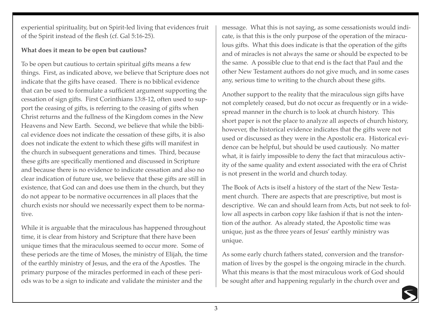experiential spirituality, but on Spirit-led living that evidences fruit of the Spirit instead of the flesh (cf. Gal 5:16-25).

#### **What does it mean to be open but cautious?**

To be open but cautious to certain spiritual gifts means a few things. First, as indicated above, we believe that Scripture does not indicate that the gifts have ceased. There is no biblical evidence that can be used to formulate a sufficient argument supporting the cessation of sign gifts. First Corinthians 13:8-12, often used to support the ceasing of gifts, is referring to the ceasing of gifts when Christ returns and the fullness of the Kingdom comes in the New Heavens and New Earth. Second, we believe that while the biblical evidence does not indicate the cessation of these gifts, it is also does not indicate the extent to which these gifts will manifest in the church in subsequent generations and times. Third, because these gifts are specifically mentioned and discussed in Scripture and because there is no evidence to indicate cessation and also no clear indication of future use, we believe that these gifts are still in existence, that God can and does use them in the church, but they do not appear to be normative occurrences in all places that the church exists nor should we necessarily expect them to be normative.

While it is arguable that the miraculous has happened throughout time, it is clear from history and Scripture that there have been unique times that the miraculous seemed to occur more. Some of these periods are the time of Moses, the ministry of Elijah, the time of the earthly ministry of Jesus, and the era of the Apostles. The primary purpose of the miracles performed in each of these periods was to be a sign to indicate and validate the minister and the

message. What this is not saying, as some cessationists would indicate, is that this is the only purpose of the operation of the miraculous gifts. What this does indicate is that the operation of the gifts and of miracles is not always the same or should be expected to be the same. A possible clue to that end is the fact that Paul and the other New Testament authors do not give much, and in some cases any, serious time to writing to the church about these gifts.

Another support to the reality that the miraculous sign gifts have not completely ceased, but do not occur as frequently or in a widespread manner in the church is to look at church history. This short paper is not the place to analyze all aspects of church history, however, the historical evidence indicates that the gifts were not used or discussed as they were in the Apostolic era. Historical evidence can be helpful, but should be used cautiously. No matter what, it is fairly impossible to deny the fact that miraculous activity of the same quality and extent associated with the era of Christ is not present in the world and church today.

The Book of Acts is itself a history of the start of the New Testament church. There are aspects that are prescriptive, but most is descriptive. We can and should learn from Acts, but not seek to follow all aspects in carbon copy like fashion if that is not the intention of the author. As already stated, the Apostolic time was unique, just as the three years of Jesus' earthly ministry was unique.

As some early church fathers stated, conversion and the transformation of lives by the gospel is the ongoing miracle in the church. What this means is that the most miraculous work of God should be sought after and happening regularly in the church over and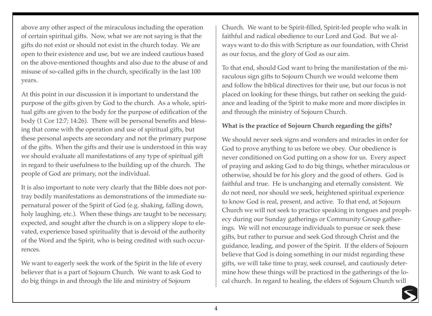above any other aspect of the miraculous including the operation of certain spiritual gifts. Now, what we are not saying is that the gifts do not exist or should not exist in the church today. We are open to their existence and use, but we are indeed cautious based on the above-mentioned thoughts and also due to the abuse of and misuse of so-called gifts in the church, specifically in the last 100 years.

At this point in our discussion it is important to understand the purpose of the gifts given by God to the church. As a whole, spiritual gifts are given to the body for the purpose of edification of the body (1 Cor 12:7; 14:26). There will be personal benefits and blessing that come with the operation and use of spiritual gifts, but these personal aspects are secondary and not the primary purpose of the gifts. When the gifts and their use is understood in this way we should evaluate all manifestations of any type of spiritual gift in regard to their usefulness to the building up of the church. The people of God are primary, not the individual.

It is also important to note very clearly that the Bible does not portray bodily manifestations as demonstrations of the immediate supernatural power of the Spirit of God (e.g. shaking, falling down, holy laughing, etc.). When these things are taught to be necessary, expected, and sought after the church is on a slippery slope to elevated, experience based spirituality that is devoid of the authority of the Word and the Spirit, who is being credited with such occurrences.

We want to eagerly seek the work of the Spirit in the life of every believer that is a part of Sojourn Church. We want to ask God to do big things in and through the life and ministry of Sojourn

Church. We want to be Spirit-filled, Spirit-led people who walk in faithful and radical obedience to our Lord and God. But we always want to do this with Scripture as our foundation, with Christ as our focus, and the glory of God as our aim.

To that end, should God want to bring the manifestation of the miraculous sign gifts to Sojourn Church we would welcome them and follow the biblical directives for their use, but our focus is not placed on looking for these things, but rather on seeking the guidance and leading of the Spirit to make more and more disciples in and through the ministry of Sojourn Church.

#### **What is the practice of Sojourn Church regarding the gifts?**

We should never seek signs and wonders and miracles in order for God to prove anything to us before we obey. Our obedience is never conditioned on God putting on a show for us. Every aspect of praying and asking God to do big things, whether miraculous or otherwise, should be for his glory and the good of others. God is faithful and true. He is unchanging and eternally consistent. We do not need, nor should we seek, heightened spiritual experience to know God is real, present, and active. To that end, at Sojourn Church we will not seek to practice speaking in tongues and prophecy during our Sunday gatherings or Community Group gatherings. We will not encourage individuals to pursue or seek these gifts, but rather to pursue and seek God through Christ and the guidance, leading, and power of the Spirit. If the elders of Sojourn believe that God is doing something in our midst regarding these gifts, we will take time to pray, seek counsel, and cautiously determine how these things will be practiced in the gatherings of the local church. In regard to healing, the elders of Sojourn Church will